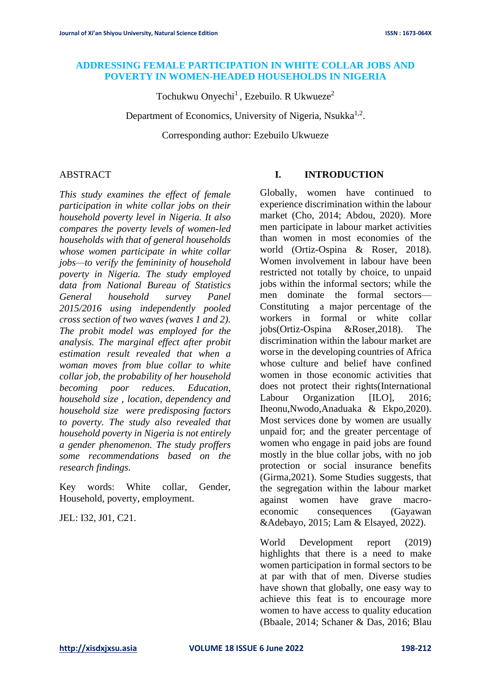#### **ADDRESSING FEMALE PARTICIPATION IN WHITE COLLAR JOBS AND POVERTY IN WOMEN-HEADED HOUSEHOLDS IN NIGERIA**

Tochukwu Onyechi<sup>1</sup>, Ezebuilo. R Ukwueze<sup>2</sup>

Department of Economics, University of Nigeria, Nsukka<sup>1,2</sup>.

Corresponding author: Ezebuilo Ukwueze

## ABSTRACT

*This study examines the effect of female participation in white collar jobs on their household poverty level in Nigeria. It also compares the poverty levels of women-led households with that of general households whose women participate in white collar jobs—to verify the femininity of household poverty in Nigeria. The study employed data from National Bureau of Statistics General household survey Panel 2015/2016 using independently pooled cross section of two waves (waves 1 and 2). The probit model was employed for the analysis. The marginal effect after probit estimation result revealed that when a woman moves from blue collar to white collar job, the probability of her household becoming poor reduces. Education, household size , location, dependency and household size were predisposing factors to poverty. The study also revealed that household poverty in Nigeria is not entirely a gender phenomenon. The study proffers some recommendations based on the research findings.*

Key words: White collar, Gender, Household, poverty, employment.

JEL: I32, J01, C21.

## **I. INTRODUCTION**

Globally, women have continued to experience discrimination within the labour market (Cho, 2014; Abdou, 2020). More men participate in labour market activities than women in most economies of the world (Ortiz-Ospina & Roser, 2018). Women involvement in labour have been restricted not totally by choice, to unpaid jobs within the informal sectors; while the men dominate the formal sectors— Constituting a major percentage of the workers in formal or white collar jobs(Ortiz-Ospina &Roser,2018). The discrimination within the labour market are worse in the developing countries of Africa whose culture and belief have confined women in those economic activities that does not protect their rights(International Labour Organization [ILO], 2016; Iheonu,Nwodo,Anaduaka & Ekpo,2020). Most services done by women are usually unpaid for; and the greater percentage of women who engage in paid jobs are found mostly in the blue collar jobs, with no job protection or social insurance benefits (Girma,2021). Some Studies suggests, that the segregation within the labour market against women have grave macroeconomic consequences (Gayawan &Adebayo, 2015; Lam & Elsayed, 2022).

World Development report (2019) highlights that there is a need to make women participation in formal sectors to be at par with that of men. Diverse studies have shown that globally, one easy way to achieve this feat is to encourage more women to have access to quality education (Bbaale, 2014; Schaner & Das, 2016; Blau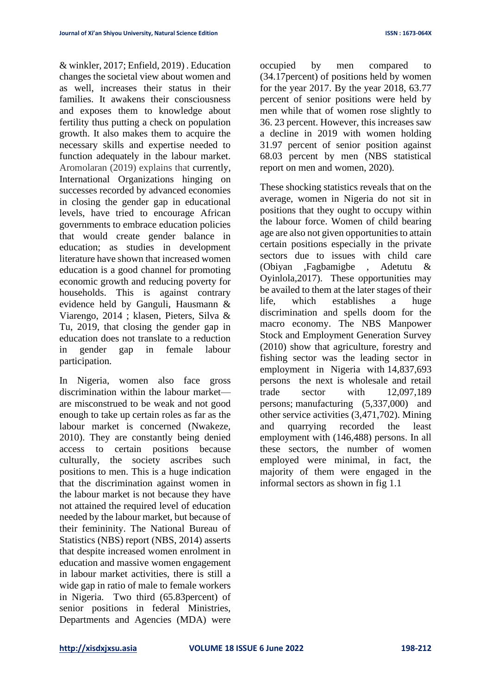& winkler, 2017; Enfield, 2019) . Education changes the societal view about women and as well, increases their status in their families. It awakens their consciousness and exposes them to knowledge about fertility thus putting a check on population growth. It also makes them to acquire the necessary skills and expertise needed to function adequately in the labour market. Aromolaran (2019) explains that currently, International Organizations hinging on successes recorded by advanced economies in closing the gender gap in educational levels, have tried to encourage African governments to embrace education policies that would create gender balance in education; as studies in development literature have shown that increased women education is a good channel for promoting economic growth and reducing poverty for households. This is against contrary evidence held by Ganguli, Hausmann & Viarengo, 2014 ; klasen, Pieters, Silva & Tu, 2019, that closing the gender gap in education does not translate to a reduction in gender gap in female labour participation.

In Nigeria, women also face gross discrimination within the labour market are misconstrued to be weak and not good enough to take up certain roles as far as the labour market is concerned (Nwakeze, 2010). They are constantly being denied access to certain positions because culturally, the society ascribes such positions to men. This is a huge indication that the discrimination against women in the labour market is not because they have not attained the required level of education needed by the labour market, but because of their femininity. The National Bureau of Statistics (NBS) report (NBS, 2014) asserts that despite increased women enrolment in education and massive women engagement in labour market activities, there is still a wide gap in ratio of male to female workers in Nigeria. Two third (65.83percent) of senior positions in federal Ministries, Departments and Agencies (MDA) were

occupied by men compared to (34.17percent) of positions held by women for the year 2017. By the year 2018, 63.77 percent of senior positions were held by men while that of women rose slightly to 36. 23 percent. However, this increases saw a decline in 2019 with women holding 31.97 percent of senior position against 68.03 percent by men (NBS statistical report on men and women, 2020).

These shocking statistics reveals that on the average, women in Nigeria do not sit in positions that they ought to occupy within the labour force. Women of child bearing age are also not given opportunities to attain certain positions especially in the private sectors due to issues with child care (Obiyan ,Fagbamigbe , Adetutu & Oyinlola,2017). These opportunities may be availed to them at the later stages of their life, which establishes a huge discrimination and spells doom for the macro economy. The NBS Manpower Stock and Employment Generation Survey (2010) show that agriculture, forestry and fishing sector was the leading sector in employment in Nigeria with 14,837,693 persons the next is wholesale and retail trade sector with 12,097,189 persons; manufacturing (5,337,000) and other service activities (3,471,702). Mining and quarrying recorded the least employment with (146,488) persons. In all these sectors, the number of women employed were minimal, in fact, the majority of them were engaged in the informal sectors as shown in fig 1.1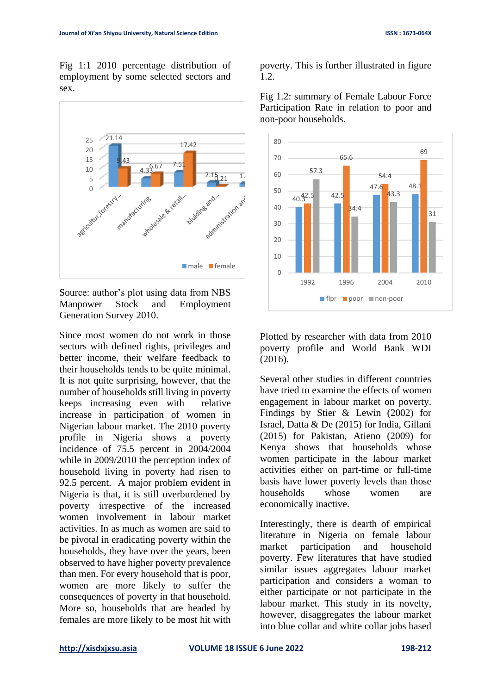Fig 1:1 2010 percentage distribution of employment by some selected sectors and sex.



Source: author's plot using data from NBS Manpower Stock and Employment Generation Survey 2010.

Since most women do not work in those sectors with defined rights, privileges and better income, their welfare feedback to their households tends to be quite minimal. It is not quite surprising, however, that the number of households still living in poverty keeps increasing even with relative increase in participation of women in Nigerian labour market. The 2010 poverty profile in Nigeria shows a poverty incidence of 75.5 percent in 2004/2004 while in 2009/2010 the perception index of household living in poverty had risen to 92.5 percent. A major problem evident in Nigeria is that, it is still overburdened by poverty irrespective of the increased women involvement in labour market activities. In as much as women are said to be pivotal in eradicating poverty within the households, they have over the years, been observed to have higher poverty prevalence than men. For every household that is poor, women are more likely to suffer the consequences of poverty in that household. More so, households that are headed by females are more likely to be most hit with poverty. This is further illustrated in figure 1.2.



Fig 1.2: summary of Female Labour Force Participation Rate in relation to poor and non-poor households.

Plotted by researcher with data from 2010 poverty profile and World Bank WDI (2016).

Several other studies in different countries have tried to examine the effects of women engagement in labour market on poverty. Findings by Stier & Lewin (2002) for Israel, Datta & De (2015) for India, Gillani (2015) for Pakistan, Atieno (2009) for Kenya shows that households whose women participate in the labour market activities either on part-time or full-time basis have lower poverty levels than those households whose women are economically inactive.

Interestingly, there is dearth of empirical literature in Nigeria on female labour market participation and household poverty. Few literatures that have studied similar issues aggregates labour market participation and considers a woman to either participate or not participate in the labour market. This study in its novelty, however, disaggregates the labour market into blue collar and white collar jobs based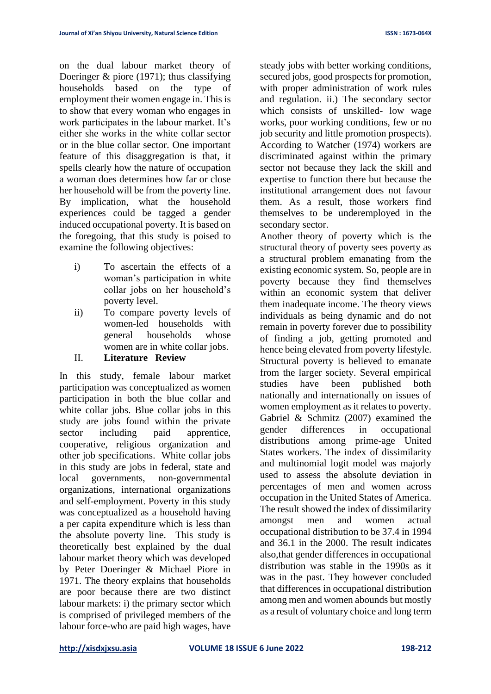on the dual labour market theory of Doeringer & piore (1971); thus classifying households based on the type of employment their women engage in. This is to show that every woman who engages in work participates in the labour market. It's either she works in the white collar sector or in the blue collar sector. One important feature of this disaggregation is that, it spells clearly how the nature of occupation a woman does determines how far or close her household will be from the poverty line. By implication, what the household experiences could be tagged a gender induced occupational poverty. It is based on the foregoing, that this study is poised to examine the following objectives:

- i) To ascertain the effects of a woman's participation in white collar jobs on her household's poverty level.
- ii) To compare poverty levels of women-led households with general households whose women are in white collar jobs.
- II. **Literature Review**

In this study, female labour market participation was conceptualized as women participation in both the blue collar and white collar jobs. Blue collar jobs in this study are jobs found within the private sector including paid apprentice, cooperative, religious organization and other job specifications. White collar jobs in this study are jobs in federal, state and local governments, non-governmental organizations, international organizations and self-employment. Poverty in this study was conceptualized as a household having a per capita expenditure which is less than the absolute poverty line. This study is theoretically best explained by the dual labour market theory which was developed by Peter Doeringer & Michael Piore in 1971. The theory explains that households are poor because there are two distinct labour markets: i) the primary sector which is comprised of privileged members of the labour force-who are paid high wages, have

steady jobs with better working conditions, secured jobs, good prospects for promotion, with proper administration of work rules and regulation. ii.) The secondary sector which consists of unskilled- low wage works, poor working conditions, few or no job security and little promotion prospects). According to Watcher (1974) workers are discriminated against within the primary sector not because they lack the skill and expertise to function there but because the institutional arrangement does not favour them. As a result, those workers find themselves to be underemployed in the secondary sector.

Another theory of poverty which is the structural theory of poverty sees poverty as a structural problem emanating from the existing economic system. So, people are in poverty because they find themselves within an economic system that deliver them inadequate income. The theory views individuals as being dynamic and do not remain in poverty forever due to possibility of finding a job, getting promoted and hence being elevated from poverty lifestyle. Structural poverty is believed to emanate from the larger society. Several empirical studies have been published both nationally and internationally on issues of women employment as it relates to poverty. Gabriel & Schmitz (2007) examined the gender differences in occupational distributions among prime-age United States workers. The index of dissimilarity and multinomial logit model was majorly used to assess the absolute deviation in percentages of men and women across occupation in the United States of America. The result showed the index of dissimilarity amongst men and women actual occupational distribution to be 37.4 in 1994 and 36.1 in the 2000. The result indicates also,that gender differences in occupational distribution was stable in the 1990s as it was in the past. They however concluded that differences in occupational distribution among men and women abounds but mostly as a result of voluntary choice and long term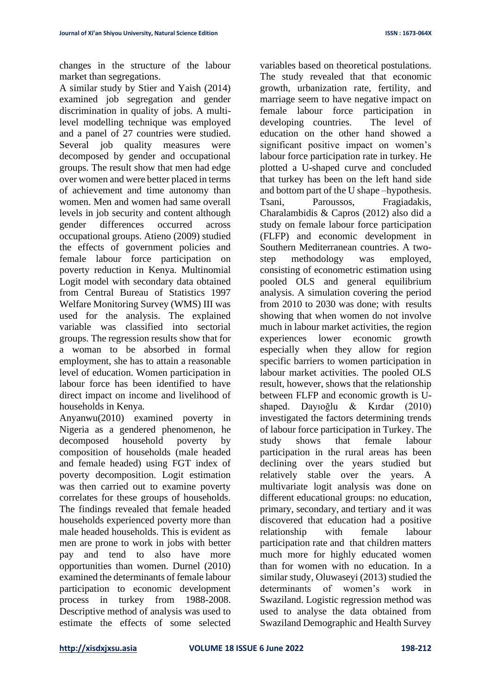changes in the structure of the labour market than segregations.

A similar study by Stier and Yaish (2014) examined job segregation and gender discrimination in quality of jobs. A multilevel modelling technique was employed and a panel of 27 countries were studied. Several job quality measures were decomposed by gender and occupational groups. The result show that men had edge over women and were better placed in terms of achievement and time autonomy than women. Men and women had same overall levels in job security and content although gender differences occurred across occupational groups. Atieno (2009) studied the effects of government policies and female labour force participation on poverty reduction in Kenya. Multinomial Logit model with secondary data obtained from Central Bureau of Statistics 1997 Welfare Monitoring Survey (WMS) III was used for the analysis. The explained variable was classified into sectorial groups. The regression results show that for a woman to be absorbed in formal employment, she has to attain a reasonable level of education. Women participation in labour force has been identified to have direct impact on income and livelihood of households in Kenya.

Anyanwu(2010) examined poverty in Nigeria as a gendered phenomenon, he decomposed household poverty by composition of households (male headed and female headed) using FGT index of poverty decomposition. Logit estimation was then carried out to examine poverty correlates for these groups of households. The findings revealed that female headed households experienced poverty more than male headed households. This is evident as men are prone to work in jobs with better pay and tend to also have more opportunities than women. Durnel (2010) examined the determinants of female labour participation to economic development process in turkey from 1988-2008. Descriptive method of analysis was used to estimate the effects of some selected

variables based on theoretical postulations. The study revealed that that economic growth, urbanization rate, fertility, and marriage seem to have negative impact on female labour force participation in developing countries. The level of education on the other hand showed a significant positive impact on women's labour force participation rate in turkey. He plotted a U-shaped curve and concluded that turkey has been on the left hand side and bottom part of the U shape –hypothesis. Tsani, Paroussos, Fragiadakis, Charalambidis & Capros (2012) also did a study on female labour force participation (FLFP) and economic development in Southern Mediterranean countries. A twostep methodology was employed, consisting of econometric estimation using pooled OLS and general equilibrium analysis. A simulation covering the period from 2010 to 2030 was done; with results showing that when women do not involve much in labour market activities, the region experiences lower economic growth especially when they allow for region specific barriers to women participation in labour market activities. The pooled OLS result, however, shows that the relationship between FLFP and economic growth is Ushaped. Dayıoğlu & Kırdar (2010) investigated the factors determining trends of labour force participation in Turkey. The study shows that female labour participation in the rural areas has been declining over the years studied but relatively stable over the years. A multivariate logit analysis was done on different educational groups: no education, primary, secondary, and tertiary and it was discovered that education had a positive relationship with female labour participation rate and that children matters much more for highly educated women than for women with no education. In a similar study, Oluwaseyi (2013) studied the determinants of women's work in Swaziland. Logistic regression method was used to analyse the data obtained from Swaziland Demographic and Health Survey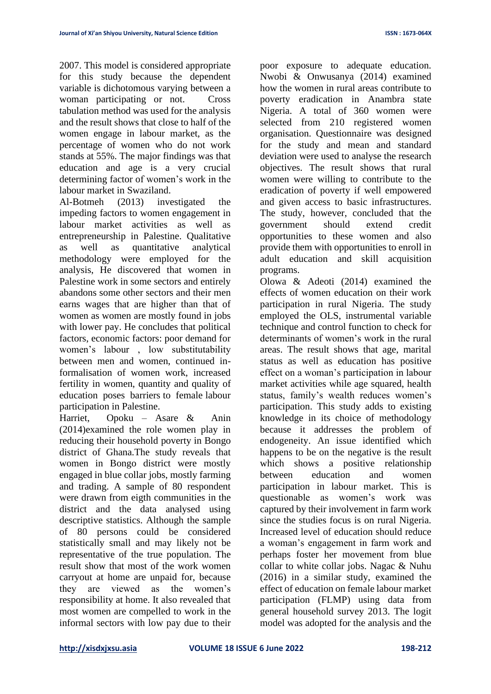2007. This model is considered appropriate for this study because the dependent variable is dichotomous varying between a woman participating or not. Cross tabulation method was used for the analysis and the result shows that close to half of the women engage in labour market, as the percentage of women who do not work stands at 55%. The major findings was that education and age is a very crucial determining factor of women's work in the labour market in Swaziland.

Al-Botmeh (2013) investigated the impeding factors to women engagement in labour market activities as well as entrepreneurship in Palestine. Qualitative as well as quantitative analytical methodology were employed for the analysis, He discovered that women in Palestine work in some sectors and entirely abandons some other sectors and their men earns wages that are higher than that of women as women are mostly found in jobs with lower pay. He concludes that political factors, economic factors: poor demand for women's labour , low substitutability between men and women, continued informalisation of women work, increased fertility in women, quantity and quality of education poses barriers to female labour participation in Palestine.

Harriet, Opoku – Asare & Anin (2014)examined the role women play in reducing their household poverty in Bongo district of Ghana.The study reveals that women in Bongo district were mostly engaged in blue collar jobs, mostly farming and trading. A sample of 80 respondent were drawn from eigth communities in the district and the data analysed using descriptive statistics. Although the sample of 80 persons could be considered statistically small and may likely not be representative of the true population. The result show that most of the work women carryout at home are unpaid for, because they are viewed as the women's responsibility at home. It also revealed that most women are compelled to work in the informal sectors with low pay due to their

poor exposure to adequate education. Nwobi & Onwusanya (2014) examined how the women in rural areas contribute to poverty eradication in Anambra state Nigeria. A total of 360 women were selected from 210 registered women organisation. Questionnaire was designed for the study and mean and standard deviation were used to analyse the research objectives. The result shows that rural women were willing to contribute to the eradication of poverty if well empowered and given access to basic infrastructures. The study, however, concluded that the government should extend credit opportunities to these women and also provide them with opportunities to enroll in adult education and skill acquisition programs.

Olowa & Adeoti (2014) examined the effects of women education on their work participation in rural Nigeria. The study employed the OLS, instrumental variable technique and control function to check for determinants of women's work in the rural areas. The result shows that age, marital status as well as education has positive effect on a woman's participation in labour market activities while age squared, health status, family's wealth reduces women's participation. This study adds to existing knowledge in its choice of methodology because it addresses the problem of endogeneity. An issue identified which happens to be on the negative is the result which shows a positive relationship between education and women participation in labour market. This is questionable as women's work was captured by their involvement in farm work since the studies focus is on rural Nigeria. Increased level of education should reduce a woman's engagement in farm work and perhaps foster her movement from blue collar to white collar jobs. Nagac & Nuhu (2016) in a similar study, examined the effect of education on female labour market participation (FLMP) using data from general household survey 2013. The logit model was adopted for the analysis and the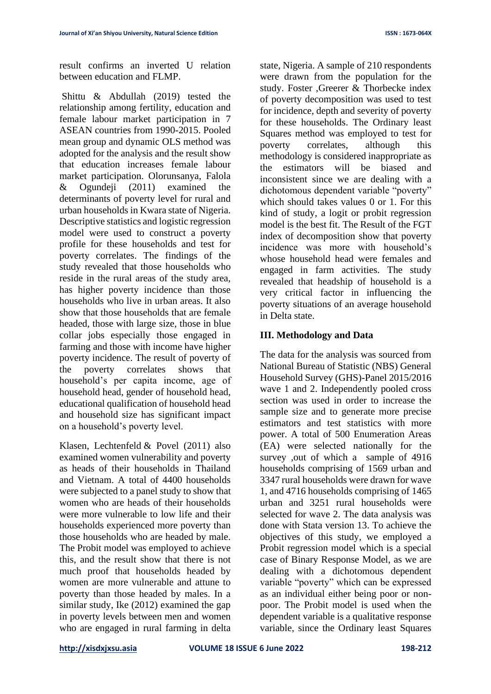result confirms an inverted U relation between education and FLMP.

Shittu & Abdullah (2019) tested the relationship among fertility, education and female labour market participation in 7 ASEAN countries from 1990-2015. Pooled mean group and dynamic OLS method was adopted for the analysis and the result show that education increases female labour market participation. Olorunsanya, Falola & Ogundeji (2011) examined the determinants of poverty level for rural and urban households in Kwara state of Nigeria. Descriptive statistics and logistic regression model were used to construct a poverty profile for these households and test for poverty correlates. The findings of the study revealed that those households who reside in the rural areas of the study area, has higher poverty incidence than those households who live in urban areas. It also show that those households that are female headed, those with large size, those in blue collar jobs especially those engaged in farming and those with income have higher poverty incidence. The result of poverty of the poverty correlates shows that household's per capita income, age of household head, gender of household head, educational qualification of household head and household size has significant impact on a household's poverty level.

Klasen, Lechtenfeld & Povel (2011) also examined women vulnerability and poverty as heads of their households in Thailand and Vietnam. A total of 4400 households were subjected to a panel study to show that women who are heads of their households were more vulnerable to low life and their households experienced more poverty than those households who are headed by male. The Probit model was employed to achieve this, and the result show that there is not much proof that households headed by women are more vulnerable and attune to poverty than those headed by males. In a similar study, Ike (2012) examined the gap in poverty levels between men and women who are engaged in rural farming in delta

state, Nigeria. A sample of 210 respondents were drawn from the population for the study. Foster ,Greerer & Thorbecke index of poverty decomposition was used to test for incidence, depth and severity of poverty for these households. The Ordinary least Squares method was employed to test for poverty correlates, although this methodology is considered inappropriate as the estimators will be biased and inconsistent since we are dealing with a dichotomous dependent variable "poverty" which should takes values 0 or 1. For this kind of study, a logit or probit regression model is the best fit. The Result of the FGT index of decomposition show that poverty incidence was more with household's whose household head were females and engaged in farm activities. The study revealed that headship of household is a very critical factor in influencing the poverty situations of an average household in Delta state.

# **III. Methodology and Data**

The data for the analysis was sourced from National Bureau of Statistic (NBS) General Household Survey (GHS)-Panel 2015/2016 wave 1 and 2. Independently pooled cross section was used in order to increase the sample size and to generate more precise estimators and test statistics with more power. A total of 500 Enumeration Areas (EA) were selected nationally for the survey ,out of which a sample of 4916 households comprising of 1569 urban and 3347 rural households were drawn for wave 1, and 4716 households comprising of 1465 urban and 3251 rural households were selected for wave 2. The data analysis was done with Stata version 13. To achieve the objectives of this study, we employed a Probit regression model which is a special case of Binary Response Model, as we are dealing with a dichotomous dependent variable "poverty" which can be expressed as an individual either being poor or nonpoor. The Probit model is used when the dependent variable is a qualitative response variable, since the Ordinary least Squares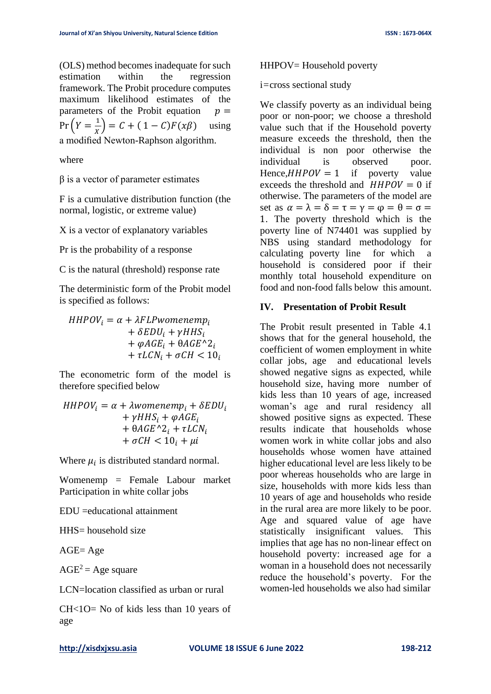(OLS) method becomes inadequate for such estimation within the regression framework. The Probit procedure computes maximum likelihood estimates of the parameters of the Probit equation  $p =$  $Pr(Y = \frac{1}{r})$  $\frac{1}{x}$ ) = C + (1 – C)F(x $\beta$ ) using a modified Newton-Raphson algorithm.

where

 $β$  is a vector of parameter estimates

F is a cumulative distribution function (the normal, logistic, or extreme value)

X is a vector of explanatory variables

Pr is the probability of a response

C is the natural (threshold) response rate

The deterministic form of the Probit model is specified as follows:

 $HHPOV_i = \alpha + \lambda FLPwomenemp_i$  $+ \delta EDU_i + \gamma HHS_i$  $+ \varphi AGE_i + \theta AGE^{\wedge}2_i$ +  $\tau$ *LCN<sub>i</sub>* +  $\sigma$ *CH* < 10<sub>i</sub>

The econometric form of the model is therefore specified below

$$
HHPOV_i = \alpha + \lambda womenemp_i + \delta EDU_i
$$
  
+  $\gamma HHS_i + \varphi AGE_i$   
+  $\theta AGE^{\wedge}2_i + \tau LCN_i$   
+  $\sigma CH < 10_i + \mu i$ 

Where  $\mu_i$  is distributed standard normal.

Womenemp = Female Labour market Participation in white collar jobs

EDU =educational attainment

 $HHS =$  household size

AGE= Age

 $AGE^2 = Age$  square

LCN=location classified as urban or rural

CH<1O= No of kids less than 10 years of age

#### HHPOV= Household poverty

i*=*cross sectional study

We classify poverty as an individual being poor or non-poor; we choose a threshold value such that if the Household poverty measure exceeds the threshold, then the individual is non poor otherwise the individual is observed poor. Hence,  $HHPOV = 1$  if poverty value exceeds the threshold and  $HHPOV = 0$  if otherwise. The parameters of the model are set as  $\alpha = \lambda = \delta = \tau = \gamma = \varphi = \theta = \sigma =$ 1. The poverty threshold which is the poverty line of N74401 was supplied by NBS using standard methodology for calculating poverty line for which a household is considered poor if their monthly total household expenditure on food and non-food falls below this amount.

## **IV. Presentation of Probit Result**

The Probit result presented in Table 4.1 shows that for the general household, the coefficient of women employment in white collar jobs, age and educational levels showed negative signs as expected, while household size, having more number of kids less than 10 years of age, increased woman's age and rural residency all showed positive signs as expected. These results indicate that households whose women work in white collar jobs and also households whose women have attained higher educational level are less likely to be poor whereas households who are large in size, households with more kids less than 10 years of age and households who reside in the rural area are more likely to be poor. Age and squared value of age have statistically insignificant values. This implies that age has no non-linear effect on household poverty: increased age for a woman in a household does not necessarily reduce the household's poverty. For the women-led households we also had similar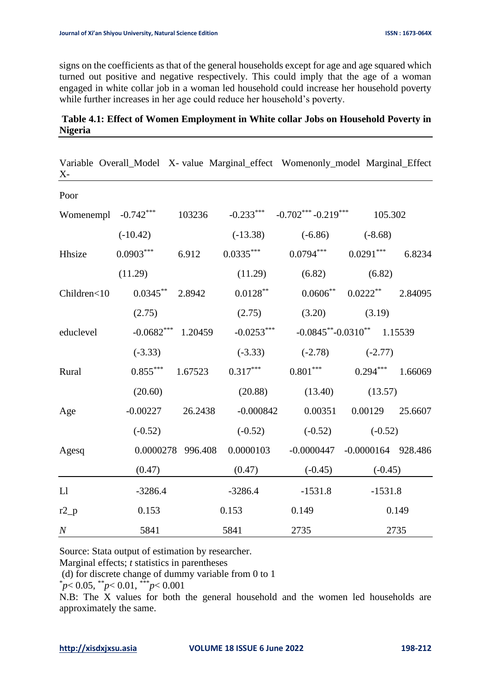signs on the coefficients as that of the general households except for age and age squared which turned out positive and negative respectively. This could imply that the age of a woman engaged in white collar job in a woman led household could increase her household poverty while further increases in her age could reduce her household's poverty.

## **Table 4.1: Effect of Women Employment in White collar Jobs on Household Poverty in Nigeria**

| $X -$                 |                      |         |                   | Variable Overall_Model X- value Marginal_effect Womenonly_model Marginal_Effect |                 |         |
|-----------------------|----------------------|---------|-------------------|---------------------------------------------------------------------------------|-----------------|---------|
| Poor                  |                      |         |                   |                                                                                 |                 |         |
| Womenempl $-0.742***$ |                      | 103236  |                   | $-0.233***$ $-0.702***$ $-0.219***$ $105.302$                                   |                 |         |
|                       | $(-10.42)$           |         |                   | $(-13.38)$ $(-6.86)$ $(-8.68)$                                                  |                 |         |
| Hhsize                | $0.0903***$          |         | 6.912 $0.0335***$ | $0.0794***$ $0.0291***$                                                         |                 | 6.8234  |
|                       | (11.29)              |         | (11.29)           | (6.82)                                                                          | (6.82)          |         |
| Children<10           | $0.0345***$ 2.8942   |         | $0.0128***$       | $0.0606^{**}$ $0.0222^{**}$                                                     |                 | 2.84095 |
|                       | (2.75)               |         | (2.75)            | $(3.20)$ $(3.19)$                                                               |                 |         |
| educlevel             | $-0.0682***$ 1.20459 |         | $-0.0253***$      | $-0.0845^{**} - 0.0310^{**}$ 1.15539                                            |                 |         |
|                       | $(-3.33)$            |         | $(-3.33)$         | $(-2.78)$ $(-2.77)$                                                             |                 |         |
| Rural                 | $0.855***$ 1.67523   |         | $0.317***$        | $0.801***$ $0.294***$                                                           |                 | 1.66069 |
|                       | (20.60)              |         | (20.88)           | (13.40)                                                                         | (13.57)         |         |
| Age                   | $-0.00227$           | 26.2438 | $-0.000842$       | 0.00351                                                                         | 0.00129 25.6607 |         |
|                       | $(-0.52)$            |         | $(-0.52)$         | $(-0.52)$                                                                       | $(-0.52)$       |         |
| Agesq                 | 0.0000278 996.408    |         | 0.0000103         | $-0.0000447 - 0.0000164$ 928.486                                                |                 |         |
|                       | (0.47)               |         | (0.47)            | $(-0.45)$                                                                       | $(-0.45)$       |         |
| ${\rm Ll}$            | $-3286.4$            |         | $-3286.4$         | $-1531.8$                                                                       | $-1531.8$       |         |
| $r2_p$                | 0.153                |         | 0.153             | 0.149                                                                           | 0.149           |         |
| $\boldsymbol{N}$      | 5841                 |         | 5841              | 2735                                                                            |                 | 2735    |

Source: Stata output of estimation by researcher.

Marginal effects; *t* statistics in parentheses

(d) for discrete change of dummy variable from 0 to 1

\* *p*< 0.05, \*\**p*< 0.01, \*\*\**p*< 0.001

N.B: The X values for both the general household and the women led households are approximately the same.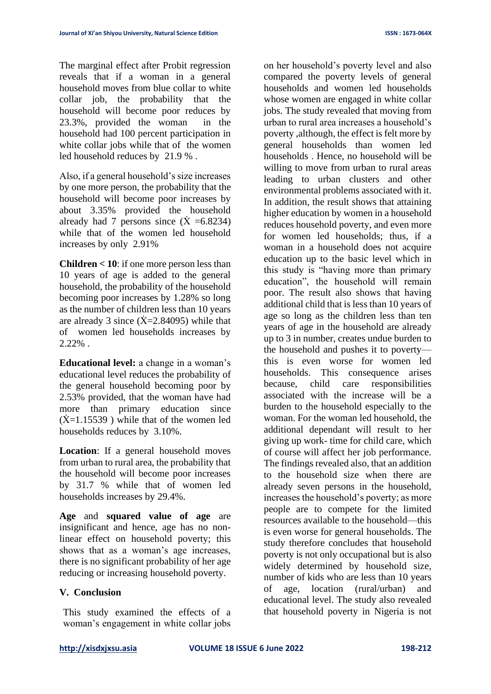The marginal effect after Probit regression reveals that if a woman in a general household moves from blue collar to white collar job, the probability that the household will become poor reduces by 23.3%, provided the woman in the household had 100 percent participation in white collar jobs while that of the women led household reduces by 21.9 % .

Also, if a general household's size increases by one more person, the probability that the household will become poor increases by about 3.35% provided the household already had 7 persons since  $(\dot{X} = 6.8234)$ while that of the women led household increases by only 2.91%

**Children < 10**: if one more person less than 10 years of age is added to the general household, the probability of the household becoming poor increases by 1.28% so long as the number of children less than 10 years are already 3 since  $(\dot{X}=2.84095)$  while that of women led households increases by 2.22% .

**Educational level:** a change in a woman's educational level reduces the probability of the general household becoming poor by 2.53% provided, that the woman have had more than primary education since  $(\dot{X}=1.15539)$  while that of the women led households reduces by 3.10%.

**Location**: If a general household moves from urban to rural area, the probability that the household will become poor increases by 31.7 % while that of women led households increases by 29.4%.

**Age** and **squared value of age** are insignificant and hence, age has no nonlinear effect on household poverty; this shows that as a woman's age increases, there is no significant probability of her age reducing or increasing household poverty.

## **V. Conclusion**

This study examined the effects of a woman's engagement in white collar jobs

on her household's poverty level and also compared the poverty levels of general households and women led households whose women are engaged in white collar jobs. The study revealed that moving from urban to rural area increases a household's poverty ,although, the effect is felt more by general households than women led households . Hence, no household will be willing to move from urban to rural areas leading to urban clusters and other environmental problems associated with it. In addition, the result shows that attaining higher education by women in a household reduces household poverty, and even more for women led households; thus, if a woman in a household does not acquire education up to the basic level which in this study is "having more than primary education", the household will remain poor. The result also shows that having additional child that is less than 10 years of age so long as the children less than ten years of age in the household are already up to 3 in number, creates undue burden to the household and pushes it to poverty this is even worse for women led households. This consequence arises because, child care responsibilities associated with the increase will be a burden to the household especially to the woman. For the woman led household, the additional dependant will result to her giving up work- time for child care, which of course will affect her job performance. The findings revealed also, that an addition to the household size when there are already seven persons in the household, increases the household's poverty; as more people are to compete for the limited resources available to the household—this is even worse for general households. The study therefore concludes that household poverty is not only occupational but is also widely determined by household size, number of kids who are less than 10 years of age, location (rural/urban) and educational level. The study also revealed that household poverty in Nigeria is not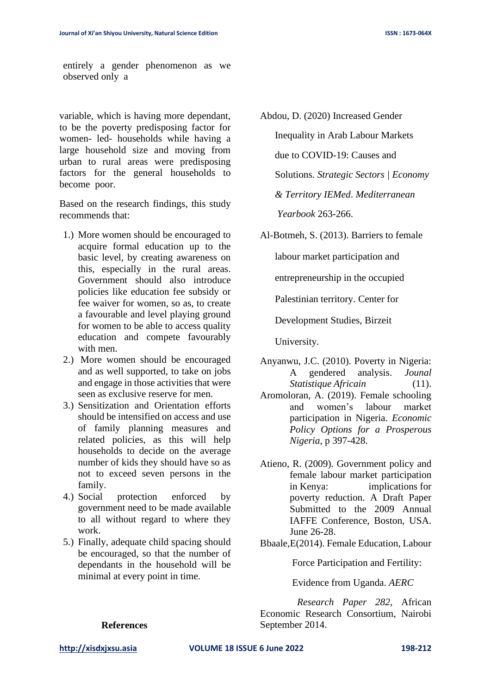entirely a gender phenomenon as we observed only a

variable, which is having more dependant, to be the poverty predisposing factor for women- led- households while having a large household size and moving from urban to rural areas were predisposing factors for the general households to become poor.

Based on the research findings, this study recommends that:

- 1.) More women should be encouraged to acquire formal education up to the basic level, by creating awareness on this, especially in the rural areas. Government should also introduce policies like education fee subsidy or fee waiver for women, so as, to create a favourable and level playing ground for women to be able to access quality education and compete favourably with men.
- 2.) More women should be encouraged and as well supported, to take on jobs and engage in those activities that were seen as exclusive reserve for men.
- 3.) Sensitization and Orientation efforts should be intensified on access and use of family planning measures and related policies, as this will help households to decide on the average number of kids they should have so as not to exceed seven persons in the family.
- 4.) Social protection enforced by government need to be made available to all without regard to where they work.
- 5.) Finally, adequate child spacing should be encouraged, so that the number of dependants in the household will be minimal at every point in time.

Abdou, D. (2020) Increased Gender Inequality in Arab Labour Markets due to COVID-19: Causes and Solutions. *Strategic Sectors | Economy & Territory IEMed*. *Mediterranean Yearbook* 263-266.

Al-Botmeh, S. (2013). Barriers to female

labour market participation and

entrepreneurship in the occupied

Palestinian territory. Center for

Development Studies, Birzeit

University.

- Anyanwu, J.C. (2010). Poverty in Nigeria: A gendered analysis. *Jounal Statistique Africain* (11).
- Aromoloran, A. (2019). Female schooling and women's labour market participation in Nigeria. *Economic Policy Options for a Prosperous Nigeria*, p 397-428.
- Atieno, R. (2009). Government policy and female labour market participation in Kenya: implications for poverty reduction. A Draft Paper Submitted to the 2009 Annual IAFFE Conference, Boston, USA. June 26-28.

Bbaale,E(2014). Female Education, Labour

Force Participation and Fertility:

Evidence from Uganda. *AERC*

 *Research Paper 282*, African Economic Research Consortium, Nairobi September 2014.

#### **References**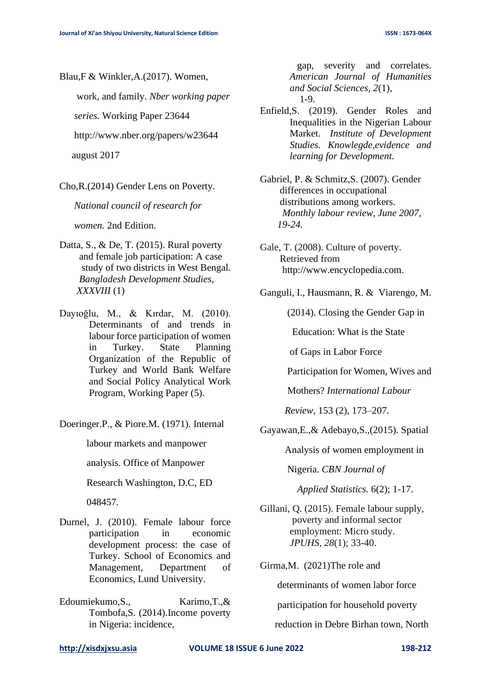Blau,F & Winkler,A.(2017). Women,

work, and family. *Nber working paper*

 *series.* Working Paper 23644

http://www.nber.org/papers/w23644

august 2017

Cho,R.(2014) Gender Lens on Poverty.

*National council of research for*

 *women.* 2nd Edition.

- Datta, S., & De, T. (2015). Rural poverty and female job participation: A case study of two districts in West Bengal*. Bangladesh Development Studies*, *XXXVIII* (1)
- Dayıoğlu, M., & Kırdar, M. (2010). Determinants of and trends in labour force participation of women in Turkey. State Planning Organization of the Republic of Turkey and World Bank Welfare and Social Policy Analytical Work Program, Working Paper (5).

Doeringer.P., & Piore.M. (1971). Internal

labour markets and manpower

analysis. Office of Manpower

Research Washington, D.C, ED

048457.

- Durnel, J. (2010). Female labour force participation in economic development process: the case of Turkey. School of Economics and Management, Department of Economics, Lund University.
- Edoumiekumo, S., Karimo, T., & Tombofa,S. (2014).Income poverty in Nigeria: incidence,

 gap, severity and correlates. *American Journal of Humanities and Social Sciences, 2*(1), 1-9.

- Enfield,S. (2019). Gender Roles and Inequalities in the Nigerian Labour Market. *Institute of Development Studies. Knowlegde,evidence and learning for Development.*
- Gabriel, P. & Schmitz,S. (2007). Gender differences in occupational distributions among workers. *Monthly labour review, June 2007, 19-24.*
- Gale, T. (2008). Culture of poverty. Retrieved from http://www.encyclopedia.com.
- Ganguli, I., Hausmann, R. & Viarengo, M.

(2014). Closing the Gender Gap in

Education: What is the State

of Gaps in Labor Force

Participation for Women, Wives and

Mothers? *International Labour* 

 *Review,* 153 (2), 173–207.

Gayawan,E.,& Adebayo,S.,(2015). Spatial

Analysis of women employment in

Nigeria. *CBN Journal of*

 *Applied Statistics.* 6(2); 1-17.

Gillani, Q. (2015). Female labour supply, poverty and informal sector employment: Micro study. *JPUHS*, *28*(1); 33-40.

Girma,M. (2021)The role and

determinants of women labor force

participation for household poverty

reduction in Debre Birhan town, North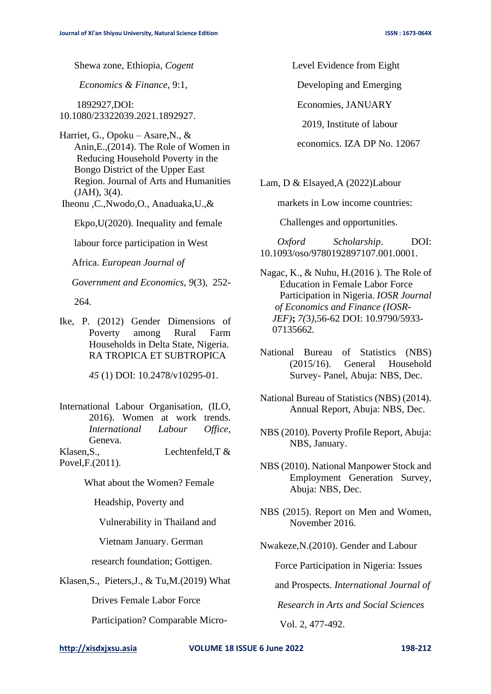Shewa zone, Ethiopia, *Cogent*

 *Economics & Finance*, 9:1,

 1892927,DOI: 10.1080/23322039.2021.1892927.

Harriet, G., Opoku – Asare,N., & Anin,E.,(2014). The Role of Women in Reducing Household Poverty in the Bongo District of the Upper East Region. Journal of Arts and Humanities (JAH), 3(4).

Iheonu ,C.,Nwodo,O., Anaduaka,U.,&

Ekpo,U(2020). Inequality and female

labour force participation in West

Africa. *European Journal of*

 *Government and Economics, 9*(3), 252-

264.

Ike, P. (2012) Gender Dimensions of Poverty among Rural Farm Households in Delta State, Nigeria. RA TROPICA ET SUBTROPICA

*45* (1) DOI: 10.2478/v10295-01.

International Labour Organisation, (ILO, 2016). Women at work trends. *International Labour Office,*  Geneva.

Klasen, S., Lechtenfeld, T & Povel,F.(2011).

What about the Women? Female

Headship, Poverty and

Vulnerability in Thailand and

Vietnam January. German

research foundation; Gottigen.

Klasen,S., Pieters,J., & Tu,M.(2019) What

Drives Female Labor Force

Participation? Comparable Micro-

Level Evidence from Eight

Developing and Emerging

Economies, JANUARY

2019, Institute of labour

economics. IZA DP No. 12067

Lam, D & Elsayed,A (2022)Labour

markets in Low income countries:

Challenges and opportunities.

 *Oxford Scholarship*. DOI: 10.1093/oso/9780192897107.001.0001.

Nagac, K., & Nuhu, H.(2016 ). The Role of Education in Female Labor Force Participation in Nigeria. *IOSR Journal of Economics and Finance (IOSR- JEF)***;** *7(*3*),*56-62 DOI: 10.9790/5933- 07135662*.*

National Bureau of Statistics (NBS) (2015/16). General Household Survey- Panel, Abuja: NBS, Dec.

- National Bureau of Statistics (NBS) (2014). Annual Report, Abuja: NBS, Dec.
- NBS (2010). Poverty Profile Report, Abuja: NBS, January.

NBS (2010). National Manpower Stock and Employment Generation Survey, Abuja: NBS, Dec.

NBS (2015). Report on Men and Women, November 2016.

Nwakeze,N.(2010). Gender and Labour

Force Participation in Nigeria: Issues

and Prospects. *International Journal of* 

 *Research in Arts and Social Sciences*

Vol. 2, 477-492.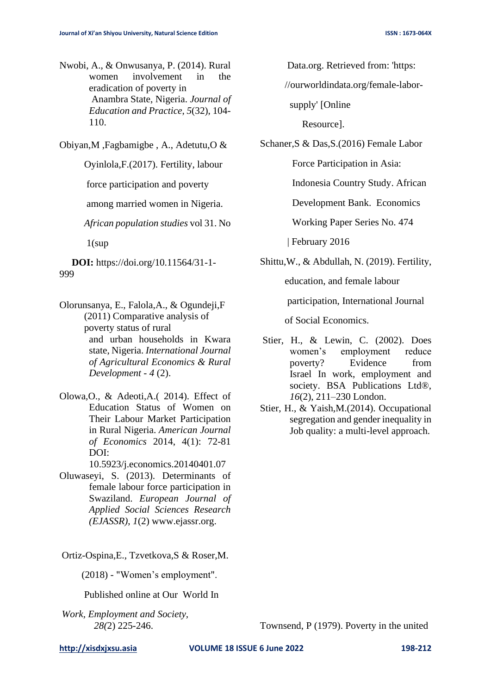Nwobi, A., & Onwusanya, P. (2014). Rural women involvement in the eradication of poverty in Anambra State, Nigeria. *Journal of Education and Practice*, *5*(32), 104- 110.

Obiyan,M ,Fagbamigbe , A., Adetutu,O &

Oyinlola,F.(2017). Fertility, labour

force participation and poverty

among married women in Nigeria.

*African population studies* vol 31. No

 $1$ (sup

 **DOI:** https://doi.org/10.11564/31-1- 999

- Olorunsanya, E., Falola,A., & Ogundeji,F (2011) Comparative analysis of poverty status of rural and urban households in Kwara state, Nigeria. *International Journal of Agricultural Economics & Rural Development* - *4* (2).
- Olowa,O., & Adeoti,A.( 2014). Effect of Education Status of Women on Their Labour Market Participation in Rural Nigeria. *American Journal of Economics* 2014, 4(1): 72-81 DOI:

10.5923/j.economics.20140401.07

- Oluwaseyi, S. (2013). Determinants of female labour force participation in Swaziland. *European Journal of Applied Social Sciences Research (EJASSR)*, *1*(2) www.ejassr.org.
- Ortiz-Ospina,E., Tzvetkova,S & Roser,M.

(2018) - "Women's employment".

Published online at Our World In

*Work, Employment and Society, 28(*2) 225-246. Townsend, P (1979). Poverty in the united

Data.org. Retrieved from: 'https:

//ourworldindata.org/female-labor-

supply' [Online

Resource].

Schaner,S & Das,S.(2016) Female Labor

Force Participation in Asia:

Indonesia Country Study. African

Development Bank. Economics

Working Paper Series No. 474

| February 2016

Shittu,W., & Abdullah, N. (2019). Fertility,

education, and female labour

participation, International Journal

of Social Economics.

- Stier, H., & Lewin, C. (2002). Does women's employment reduce poverty? Evidence from Israel In work, employment and society. BSA Publications Ltd®, *16*(2), 211–230 London.
- Stier, H., & Yaish,M.(2014). Occupational segregation and gender inequality in Job quality: a multi-level approach.